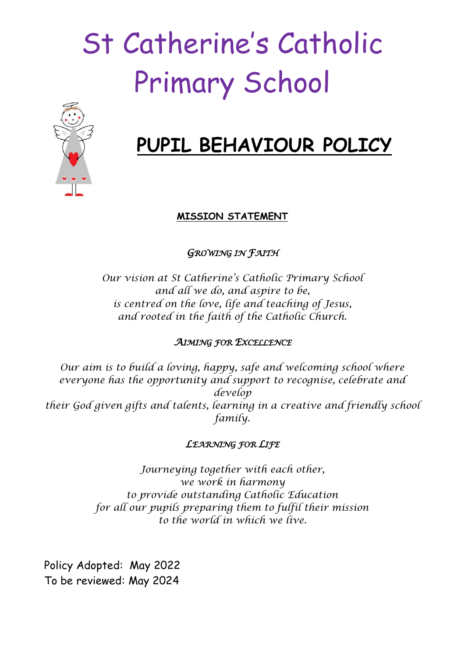# St Catherine's Catholic Primary School



## **PUPIL BEHAVIOUR POLICY**

#### **MISSION STATEMENT**

*GROWING IN FAITH* 

*Our vision at St Catherine's Catholic Primary School and all we do, and aspire to be, is centred on the love, life and teaching of Jesus, and rooted in the faith of the Catholic Church.*

#### *AIMING FOR EXCELLENCE*

*Our aim is to build a loving, happy, safe and welcoming school where everyone has the opportunity and support to recognise, celebrate and develop their God given gifts and talents, learning in a creative and friendly school family.*

#### *LEARNING FOR LIFE*

*Journeying together with each other, we work in harmony to provide outstanding Catholic Education for all our pupils preparing them to fulfil their mission to the world in which we live.*

Policy Adopted: May 2022 To be reviewed: May 2024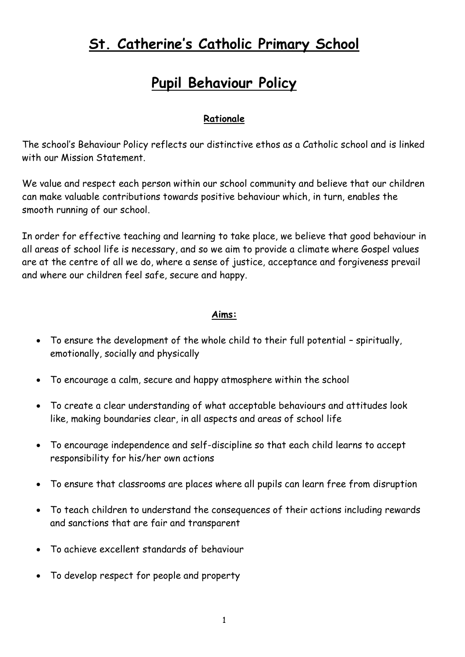## **St. Catherine's Catholic Primary School**

## **Pupil Behaviour Policy**

#### **Rationale**

The school's Behaviour Policy reflects our distinctive ethos as a Catholic school and is linked with our Mission Statement.

We value and respect each person within our school community and believe that our children can make valuable contributions towards positive behaviour which, in turn, enables the smooth running of our school.

In order for effective teaching and learning to take place, we believe that good behaviour in all areas of school life is necessary, and so we aim to provide a climate where Gospel values are at the centre of all we do, where a sense of justice, acceptance and forgiveness prevail and where our children feel safe, secure and happy.

#### **Aims:**

- To ensure the development of the whole child to their full potential spiritually, emotionally, socially and physically
- To encourage a calm, secure and happy atmosphere within the school
- To create a clear understanding of what acceptable behaviours and attitudes look like, making boundaries clear, in all aspects and areas of school life
- To encourage independence and self-discipline so that each child learns to accept responsibility for his/her own actions
- To ensure that classrooms are places where all pupils can learn free from disruption
- To teach children to understand the consequences of their actions including rewards and sanctions that are fair and transparent
- To achieve excellent standards of behaviour
- To develop respect for people and property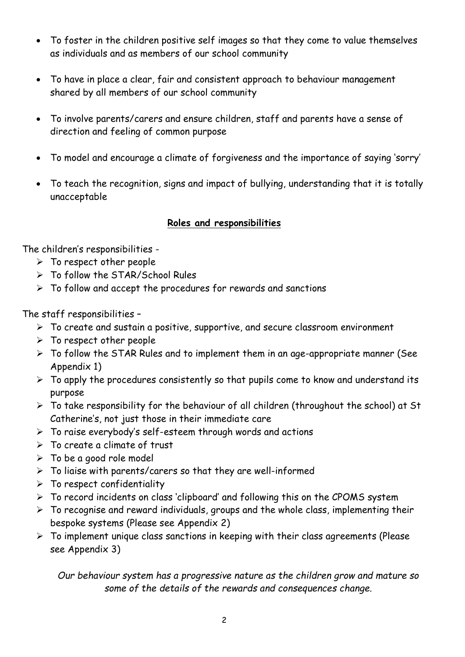- To foster in the children positive self images so that they come to value themselves as individuals and as members of our school community
- To have in place a clear, fair and consistent approach to behaviour management shared by all members of our school community
- To involve parents/carers and ensure children, staff and parents have a sense of direction and feeling of common purpose
- To model and encourage a climate of forgiveness and the importance of saying 'sorry'
- To teach the recognition, signs and impact of bullying, understanding that it is totally unacceptable

#### **Roles and responsibilities**

The children's responsibilities -

- $\triangleright$  To respect other people
- > To follow the STAR/School Rules
- $\triangleright$  To follow and accept the procedures for rewards and sanctions

The staff responsibilities –

- $\triangleright$  To create and sustain a positive, supportive, and secure classroom environment
- $\triangleright$  To respect other people
- $\triangleright$  To follow the STAR Rules and to implement them in an age-appropriate manner (See Appendix 1)
- $\triangleright$  To apply the procedures consistently so that pupils come to know and understand its purpose
- $\triangleright$  To take responsibility for the behaviour of all children (throughout the school) at St Catherine's, not just those in their immediate care
- To raise everybody's self-esteem through words and actions
- $\triangleright$  To create a climate of trust
- $\triangleright$  To be a good role model
- $\triangleright$  To liaise with parents/carers so that they are well-informed
- $\triangleright$  To respect confidentiality
- To record incidents on class 'clipboard' and following this on the CPOMS system
- $\triangleright$  To recognise and reward individuals, groups and the whole class, implementing their bespoke systems (Please see Appendix 2)
- $\triangleright$  To implement unique class sanctions in keeping with their class agreements (Please see Appendix 3)

*Our behaviour system has a progressive nature as the children grow and mature so some of the details of the rewards and consequences change.*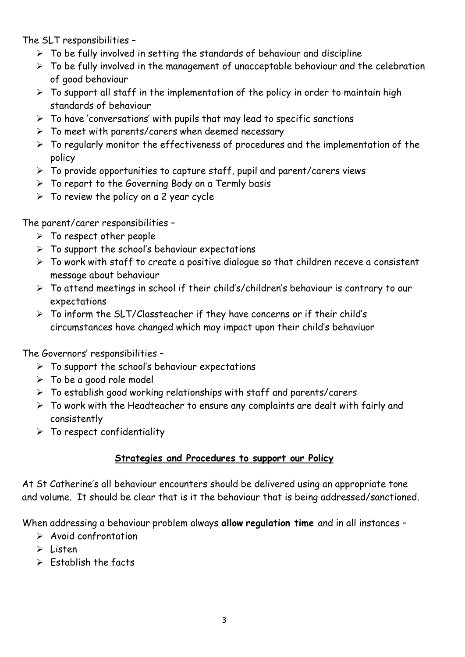The SLT responsibilities –

- $\triangleright$  To be fully involved in setting the standards of behaviour and discipline
- $\triangleright$  To be fully involved in the management of unacceptable behaviour and the celebration of good behaviour
- $\triangleright$  To support all staff in the implementation of the policy in order to maintain high standards of behaviour
- $\triangleright$  To have 'conversations' with pupils that may lead to specific sanctions
- $\triangleright$  To meet with parents/carers when deemed necessary
- $\triangleright$  To regularly monitor the effectiveness of procedures and the implementation of the policy
- $\triangleright$  To provide opportunities to capture staff, pupil and parent/carers views
- > To report to the Governing Body on a Termly basis
- $\triangleright$  To review the policy on a 2 year cycle

The parent/carer responsibilities –

- $\triangleright$  To respect other people
- $\triangleright$  To support the school's behaviour expectations
- $\triangleright$  To work with staff to create a positive dialogue so that children receve a consistent message about behaviour
- To attend meetings in school if their child's/children's behaviour is contrary to our expectations
- $\triangleright$  To inform the SLT/Classteacher if they have concerns or if their child's circumstances have changed which may impact upon their child's behaviuor

The Governors' responsibilities –

- $\triangleright$  To support the school's behaviour expectations
- $\triangleright$  To be a good role model
- $\triangleright$  To establish good working relationships with staff and parents/carers
- $\triangleright$  To work with the Headteacher to ensure any complaints are dealt with fairly and consistently
- $\triangleright$  To respect confidentiality

#### **Strategies and Procedures to support our Policy**

At St Catherine's all behaviour encounters should be delivered using an appropriate tone and volume. It should be clear that is it the behaviour that is being addressed/sanctioned.

When addressing a behaviour problem always **allow regulation time** and in all instances –

- $\triangleright$  Avoid confrontation
- $\geq$  Listen
- $\triangleright$  Establish the facts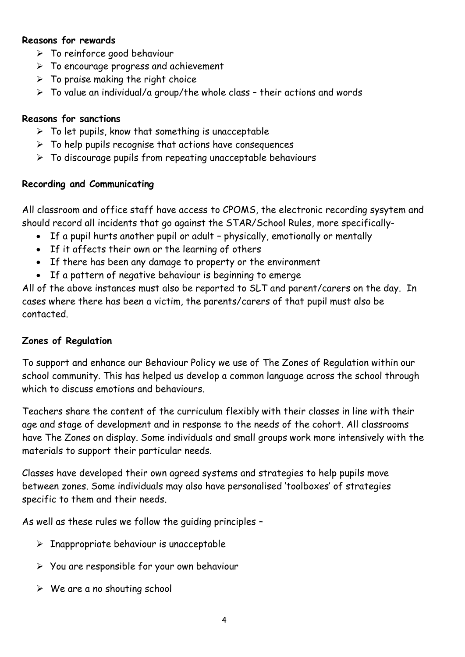#### **Reasons for rewards**

- $\triangleright$  To reinforce good behaviour
- $\triangleright$  To encourage progress and achievement
- $\triangleright$  To praise making the right choice
- $\triangleright$  To value an individual/a group/the whole class their actions and words

#### **Reasons for sanctions**

- $\triangleright$  To let pupils, know that something is unacceptable
- $\triangleright$  To help pupils recognise that actions have consequences
- $\triangleright$  To discourage pupils from repeating unacceptable behaviours

#### **Recording and Communicating**

All classroom and office staff have access to CPOMS, the electronic recording sysytem and should record all incidents that go against the STAR/School Rules, more specifically-

- If a pupil hurts another pupil or adult physically, emotionally or mentally
- If it affects their own or the learning of others
- If there has been any damage to property or the environment
- If a pattern of negative behaviour is beginning to emerge

All of the above instances must also be reported to SLT and parent/carers on the day. In cases where there has been a victim, the parents/carers of that pupil must also be contacted.

#### **Zones of Regulation**

To support and enhance our Behaviour Policy we use of The Zones of Regulation within our school community. This has helped us develop a common language across the school through which to discuss emotions and behaviours.

Teachers share the content of the curriculum flexibly with their classes in line with their age and stage of development and in response to the needs of the cohort. All classrooms have The Zones on display. Some individuals and small groups work more intensively with the materials to support their particular needs.

Classes have developed their own agreed systems and strategies to help pupils move between zones. Some individuals may also have personalised 'toolboxes' of strategies specific to them and their needs.

As well as these rules we follow the guiding principles –

- $\triangleright$  Inappropriate behaviour is unacceptable
- $\triangleright$  You are responsible for your own behaviour
- $\triangleright$  We are a no shouting school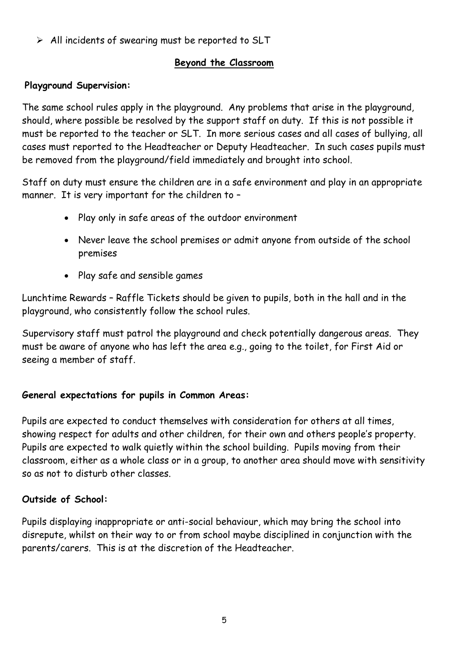$\triangleright$  All incidents of swearing must be reported to SLT

#### **Beyond the Classroom**

#### **Playground Supervision:**

The same school rules apply in the playground. Any problems that arise in the playground, should, where possible be resolved by the support staff on duty. If this is not possible it must be reported to the teacher or SLT. In more serious cases and all cases of bullying, all cases must reported to the Headteacher or Deputy Headteacher. In such cases pupils must be removed from the playground/field immediately and brought into school.

Staff on duty must ensure the children are in a safe environment and play in an appropriate manner. It is very important for the children to -

- Play only in safe areas of the outdoor environment
- Never leave the school premises or admit anyone from outside of the school premises
- Play safe and sensible games

Lunchtime Rewards – Raffle Tickets should be given to pupils, both in the hall and in the playground, who consistently follow the school rules.

Supervisory staff must patrol the playground and check potentially dangerous areas. They must be aware of anyone who has left the area e.g., going to the toilet, for First Aid or seeing a member of staff.

#### **General expectations for pupils in Common Areas:**

Pupils are expected to conduct themselves with consideration for others at all times, showing respect for adults and other children, for their own and others people's property. Pupils are expected to walk quietly within the school building. Pupils moving from their classroom, either as a whole class or in a group, to another area should move with sensitivity so as not to disturb other classes.

#### **Outside of School:**

Pupils displaying inappropriate or anti-social behaviour, which may bring the school into disrepute, whilst on their way to or from school maybe disciplined in conjunction with the parents/carers. This is at the discretion of the Headteacher.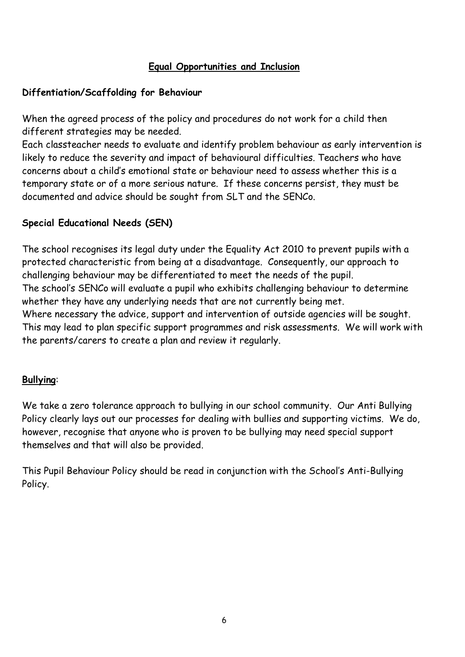#### **Equal Opportunities and Inclusion**

#### **Diffentiation/Scaffolding for Behaviour**

When the agreed process of the policy and procedures do not work for a child then different strategies may be needed.

Each classteacher needs to evaluate and identify problem behaviour as early intervention is likely to reduce the severity and impact of behavioural difficulties. Teachers who have concerns about a child's emotional state or behaviour need to assess whether this is a temporary state or of a more serious nature. If these concerns persist, they must be documented and advice should be sought from SLT and the SENCo.

#### **Special Educational Needs (SEN)**

The school recognises its legal duty under the Equality Act 2010 to prevent pupils with a protected characteristic from being at a disadvantage. Consequently, our approach to challenging behaviour may be differentiated to meet the needs of the pupil. The school's SENCo will evaluate a pupil who exhibits challenging behaviour to determine whether they have any underlying needs that are not currently being met. Where necessary the advice, support and intervention of outside agencies will be sought. This may lead to plan specific support programmes and risk assessments. We will work with the parents/carers to create a plan and review it regularly.

#### **Bullying**:

We take a zero tolerance approach to bullying in our school community. Our Anti Bullying Policy clearly lays out our processes for dealing with bullies and supporting victims. We do, however, recognise that anyone who is proven to be bullying may need special support themselves and that will also be provided.

This Pupil Behaviour Policy should be read in conjunction with the School's Anti-Bullying Policy.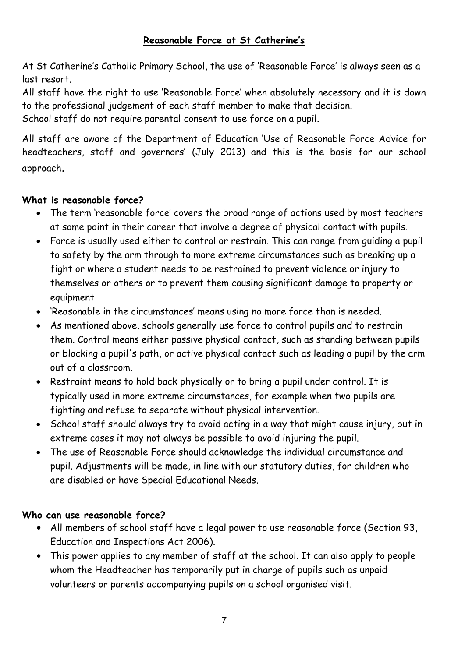#### **Reasonable Force at St Catherine's**

At St Catherine's Catholic Primary School, the use of 'Reasonable Force' is always seen as a last resort.

All staff have the right to use 'Reasonable Force' when absolutely necessary and it is down to the professional judgement of each staff member to make that decision.

School staff do not require parental consent to use force on a pupil.

All staff are aware of the Department of Education 'Use of Reasonable Force Advice for headteachers, staff and governors' (July 2013) and this is the basis for our school approach.

#### **What is reasonable force?**

- The term 'reasonable force' covers the broad range of actions used by most teachers at some point in their career that involve a degree of physical contact with pupils.
- Force is usually used either to control or restrain. This can range from guiding a pupil to safety by the arm through to more extreme circumstances such as breaking up a fight or where a student needs to be restrained to prevent violence or injury to themselves or others or to prevent them causing significant damage to property or equipment
- 'Reasonable in the circumstances' means using no more force than is needed.
- As mentioned above, schools generally use force to control pupils and to restrain them. Control means either passive physical contact, such as standing between pupils or blocking a pupil's path, or active physical contact such as leading a pupil by the arm out of a classroom.
- Restraint means to hold back physically or to bring a pupil under control. It is typically used in more extreme circumstances, for example when two pupils are fighting and refuse to separate without physical intervention.
- School staff should always try to avoid acting in a way that might cause injury, but in extreme cases it may not always be possible to avoid injuring the pupil.
- The use of Reasonable Force should acknowledge the individual circumstance and pupil. Adjustments will be made, in line with our statutory duties, for children who are disabled or have Special Educational Needs.

#### **Who can use reasonable force?**

- All members of school staff have a legal power to use reasonable force (Section 93, Education and Inspections Act 2006).
- This power applies to any member of staff at the school. It can also apply to people whom the Headteacher has temporarily put in charge of pupils such as unpaid volunteers or parents accompanying pupils on a school organised visit.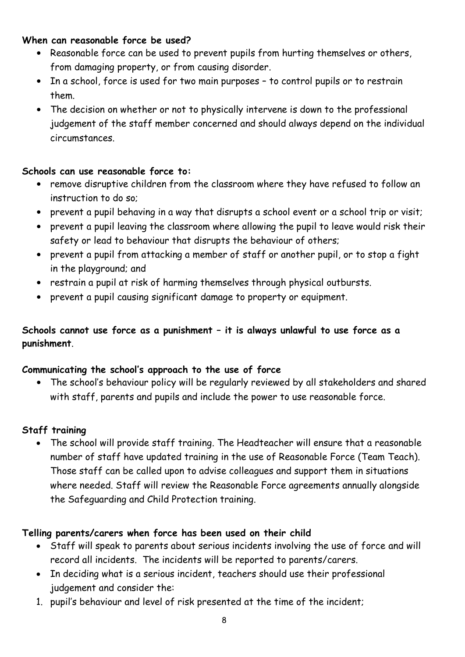#### **When can reasonable force be used?**

- Reasonable force can be used to prevent pupils from hurting themselves or others, from damaging property, or from causing disorder.
- In a school, force is used for two main purposes to control pupils or to restrain them.
- The decision on whether or not to physically intervene is down to the professional judgement of the staff member concerned and should always depend on the individual circumstances.

#### **Schools can use reasonable force to:**

- remove disruptive children from the classroom where they have refused to follow an instruction to do so;
- prevent a pupil behaving in a way that disrupts a school event or a school trip or visit;
- prevent a pupil leaving the classroom where allowing the pupil to leave would risk their safety or lead to behaviour that disrupts the behaviour of others;
- prevent a pupil from attacking a member of staff or another pupil, or to stop a fight in the playground; and
- restrain a pupil at risk of harming themselves through physical outbursts.
- prevent a pupil causing significant damage to property or equipment.

#### **Schools cannot use force as a punishment – it is always unlawful to use force as a punishment**.

#### **Communicating the school's approach to the use of force**

• The school's behaviour policy will be regularly reviewed by all stakeholders and shared with staff, parents and pupils and include the power to use reasonable force.

#### **Staff training**

 The school will provide staff training. The Headteacher will ensure that a reasonable number of staff have updated training in the use of Reasonable Force (Team Teach). Those staff can be called upon to advise colleagues and support them in situations where needed. Staff will review the Reasonable Force agreements annually alongside the Safeguarding and Child Protection training.

#### **Telling parents/carers when force has been used on their child**

- Staff will speak to parents about serious incidents involving the use of force and will record all incidents. The incidents will be reported to parents/carers.
- In deciding what is a serious incident, teachers should use their professional judgement and consider the:
- 1. pupil's behaviour and level of risk presented at the time of the incident;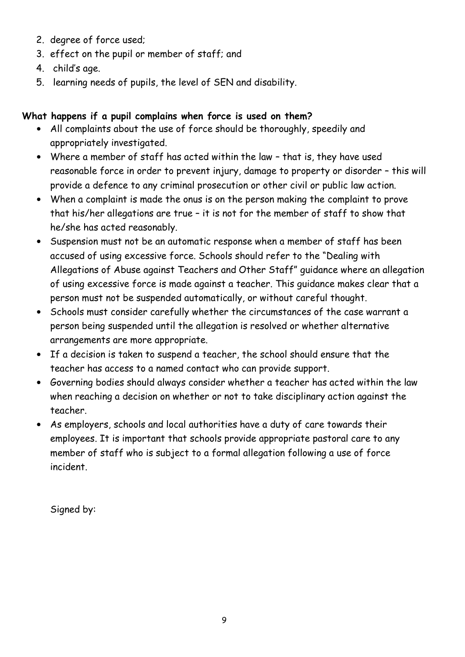- 2. degree of force used;
- 3. effect on the pupil or member of staff; and
- 4. child's age.
- 5. learning needs of pupils, the level of SEN and disability.

#### **What happens if a pupil complains when force is used on them?**

- All complaints about the use of force should be thoroughly, speedily and appropriately investigated.
- Where a member of staff has acted within the law that is, they have used reasonable force in order to prevent injury, damage to property or disorder – this will provide a defence to any criminal prosecution or other civil or public law action.
- When a complaint is made the onus is on the person making the complaint to prove that his/her allegations are true – it is not for the member of staff to show that he/she has acted reasonably.
- Suspension must not be an automatic response when a member of staff has been accused of using excessive force. Schools should refer to the "Dealing with Allegations of Abuse against Teachers and Other Staff" guidance where an allegation of using excessive force is made against a teacher. This guidance makes clear that a person must not be suspended automatically, or without careful thought.
- Schools must consider carefully whether the circumstances of the case warrant a person being suspended until the allegation is resolved or whether alternative arrangements are more appropriate.
- If a decision is taken to suspend a teacher, the school should ensure that the teacher has access to a named contact who can provide support.
- Governing bodies should always consider whether a teacher has acted within the law when reaching a decision on whether or not to take disciplinary action against the teacher.
- As employers, schools and local authorities have a duty of care towards their employees. It is important that schools provide appropriate pastoral care to any member of staff who is subject to a formal allegation following a use of force incident.

Signed by: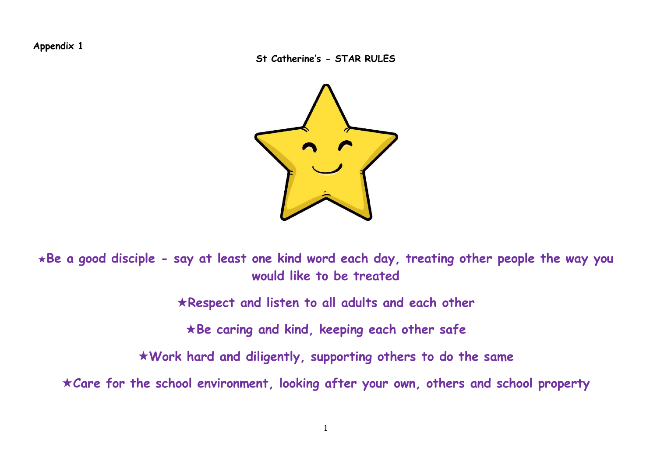**Appendix 1**

**St Catherine's - STAR RULES**



**Be a good disciple - say at least one kind word each day, treating other people the way you would like to be treated**

**Respect and listen to all adults and each other**

**Be caring and kind, keeping each other safe**

**Work hard and diligently, supporting others to do the same**

**Care for the school environment, looking after your own, others and school property**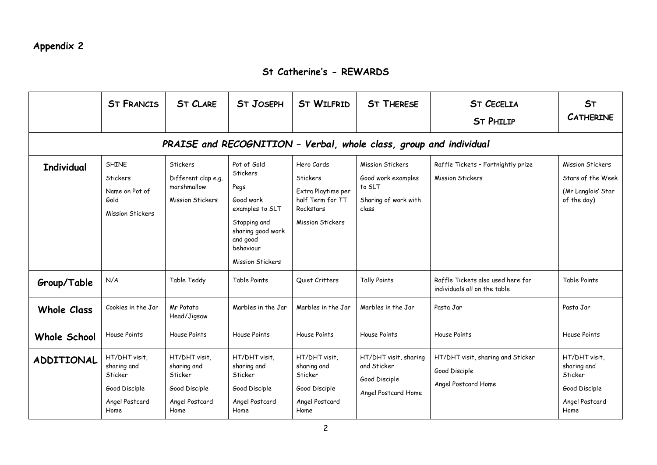#### **St Catherine's - REWARDS**

|                                                                    | <b>ST FRANCIS</b>                                                                  | <b>ST CLARE</b>                                                                    | <b>ST JOSEPH</b>                                                                                                                                         | <b>ST WILFRID</b>                                                                                        | <b>ST THERESE</b>                                                                        | <b>ST CECELIA</b><br><b>ST PHILIP</b>                                     | <b>ST</b><br><b>CATHERINE</b>                                                      |
|--------------------------------------------------------------------|------------------------------------------------------------------------------------|------------------------------------------------------------------------------------|----------------------------------------------------------------------------------------------------------------------------------------------------------|----------------------------------------------------------------------------------------------------------|------------------------------------------------------------------------------------------|---------------------------------------------------------------------------|------------------------------------------------------------------------------------|
| PRAISE and RECOGNITION - Verbal, whole class, group and individual |                                                                                    |                                                                                    |                                                                                                                                                          |                                                                                                          |                                                                                          |                                                                           |                                                                                    |
| <b>Individual</b>                                                  | <b>SHINE</b><br>Stickers<br>Name on Pot of<br>Gold<br><b>Mission Stickers</b>      | <b>Stickers</b><br>Different clap e.g.<br>marshmallow<br>Mission Stickers          | Pot of Gold<br>Stickers<br>Pegs<br>Good work<br>examples to SLT<br>Stopping and<br>sharing good work<br>and good<br>behaviour<br><b>Mission Stickers</b> | Hero Cards<br>Stickers<br>Extra Playtime per<br>half Term for TT<br>Rockstars<br><b>Mission Stickers</b> | <b>Mission Stickers</b><br>Good work examples<br>to SLT<br>Sharing of work with<br>class | Raffle Tickets - Fortnightly prize<br><b>Mission Stickers</b>             | <b>Mission Stickers</b><br>Stars of the Week<br>(Mr Langlois' Star<br>of the day)  |
| Group/Table                                                        | N/A                                                                                | Table Teddy                                                                        | Table Points                                                                                                                                             | Quiet Critters                                                                                           | <b>Tally Points</b>                                                                      | Raffle Tickets also used here for<br>individuals all on the table         | Table Points                                                                       |
| <b>Whole Class</b>                                                 | Cookies in the Jar                                                                 | Mr Potato<br>Head/Jigsaw                                                           | Marbles in the Jar                                                                                                                                       | Marbles in the Jar                                                                                       | Marbles in the Jar                                                                       | Pasta Jar                                                                 | Pasta Jar                                                                          |
| <b>Whole School</b>                                                | House Points                                                                       | House Points                                                                       | House Points                                                                                                                                             | House Points                                                                                             | House Points                                                                             | House Points                                                              | House Points                                                                       |
| <b>ADDITIONAL</b>                                                  | HT/DHT visit,<br>sharing and<br>Sticker<br>Good Disciple<br>Angel Postcard<br>Home | HT/DHT visit,<br>sharing and<br>Sticker<br>Good Disciple<br>Angel Postcard<br>Home | HT/DHT visit,<br>sharing and<br>Sticker<br>Good Disciple<br>Angel Postcard<br>Home                                                                       | HT/DHT visit,<br>sharing and<br>Sticker<br>Good Disciple<br>Angel Postcard<br>Home                       | HT/DHT visit, sharing<br>and Sticker<br>Good Disciple<br>Angel Postcard Home             | HT/DHT visit, sharing and Sticker<br>Good Disciple<br>Angel Postcard Home | HT/DHT visit,<br>sharing and<br>Sticker<br>Good Disciple<br>Angel Postcard<br>Home |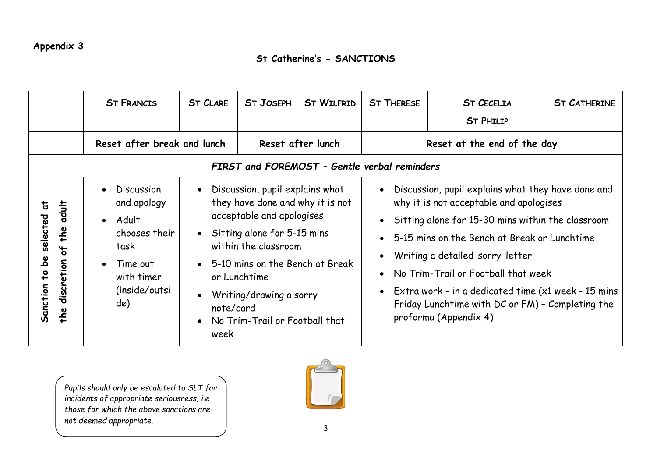#### **St Catherine's - SANCTIONS**

|                                                                                                                  | <b>ST FRANCIS</b>                                                                                                                                           | <b>ST CLARE</b>                                                                                                                                                                                                                                                                                                                         | <b>ST JOSEPH</b>  | <b>ST WILFRID</b> | <b>ST THERESE</b>                                                                                                                                                                                                                                                                                                                                                                                                          | <b>ST CECELIA</b><br><b>ST PHILIP</b> | <b>ST CATHERINE</b> |
|------------------------------------------------------------------------------------------------------------------|-------------------------------------------------------------------------------------------------------------------------------------------------------------|-----------------------------------------------------------------------------------------------------------------------------------------------------------------------------------------------------------------------------------------------------------------------------------------------------------------------------------------|-------------------|-------------------|----------------------------------------------------------------------------------------------------------------------------------------------------------------------------------------------------------------------------------------------------------------------------------------------------------------------------------------------------------------------------------------------------------------------------|---------------------------------------|---------------------|
|                                                                                                                  | Reset after break and lunch                                                                                                                                 |                                                                                                                                                                                                                                                                                                                                         | Reset after lunch |                   | Reset at the end of the day                                                                                                                                                                                                                                                                                                                                                                                                |                                       |                     |
| FIRST and FOREMOST - Gentle verbal reminders                                                                     |                                                                                                                                                             |                                                                                                                                                                                                                                                                                                                                         |                   |                   |                                                                                                                                                                                                                                                                                                                                                                                                                            |                                       |                     |
| $\frac{1}{10}$<br>$\overline{a}$<br>selected<br>the<br>ᢞ<br>ھ<br>discretion<br>$\overline{6}$<br>Sanction<br>the | <b>Discussion</b><br>$\bullet$<br>and apology<br>Adult<br>$\bullet$<br>chooses their<br>task<br>Time out<br>$\bullet$<br>with timer<br>(inside/outsi<br>de) | Discussion, pupil explains what<br>$\bullet$<br>they have done and why it is not<br>acceptable and apologises<br>• Sitting alone for 5-15 mins<br>within the classroom<br>• 5-10 mins on the Bench at Break<br>or Lunchtime<br>Writing/drawing a sorry<br>$\bullet$<br>note/card<br>No Trim-Trail or Football that<br>$\bullet$<br>week |                   |                   | Discussion, pupil explains what they have done and<br>why it is not acceptable and apologises<br>• Sitting alone for 15-30 mins within the classroom<br>• 5-15 mins on the Bench at Break or Lunchtime<br>Writing a detailed 'sorry' letter<br>No Trim-Trail or Football that week<br>• Extra work - in a dedicated time $(x1$ week - 15 mins<br>Friday Lunchtime with DC or FM) - Completing the<br>proforma (Appendix 4) |                                       |                     |

*Pupils should only be escalated to SLT for incidents of appropriate seriousness, i.e those for which the above sanctions are not deemed appropriate.*

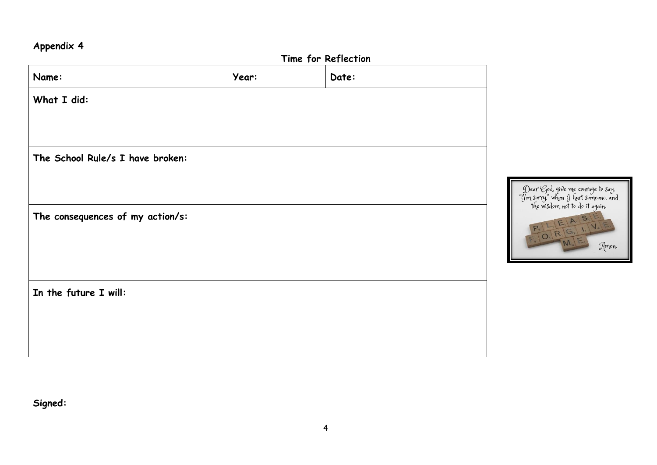### **Appendix 4**

|                                  | Time for Reflection |       |                                                             |  |  |
|----------------------------------|---------------------|-------|-------------------------------------------------------------|--|--|
| Name:                            | Year:               | Date: |                                                             |  |  |
| What I did:                      |                     |       |                                                             |  |  |
| The School Rule/s I have broken: |                     |       |                                                             |  |  |
|                                  |                     |       | $\begin{array}{c} \mathcal{J} \\ \mathcal{J}_1 \end{array}$ |  |  |
| The consequences of my action/s: |                     |       |                                                             |  |  |
|                                  |                     |       |                                                             |  |  |
| In the future I will:            |                     |       |                                                             |  |  |
|                                  |                     |       |                                                             |  |  |
|                                  |                     |       |                                                             |  |  |

Dear God, give me courage to say,<br>'m sorry," when I hurt someone, and<br>the wisdom not to do it again.  $E_1$  A, S,  $\vee$  $\circ$ Amen.

**Signed:**